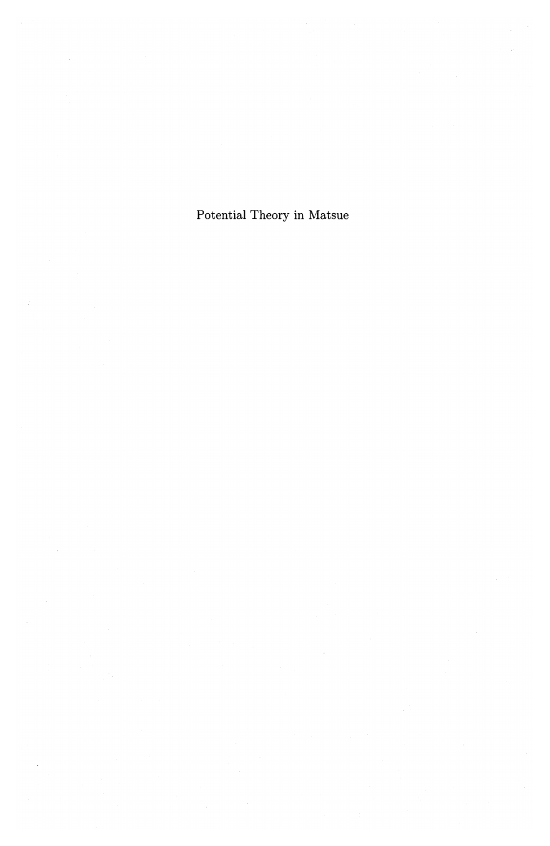Potential Theory in Matsue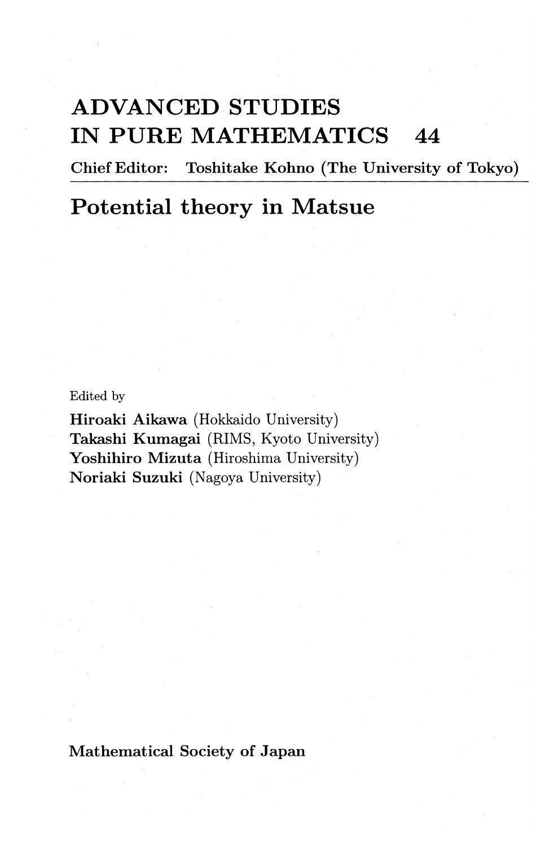# **ADVANCED STUDIES IN PURE MATHEMATICS 44**

Chief Editor: Toshitake Kohno (The University of Tokyo)

# **Potential theory in Matsue**

Edited by

Hiroaki Aikawa (Hokkaido University) Takashi Kumagai (RIMS, Kyoto University) Yoshihiro Mizuta (Hiroshima University) Noriaki Suzuki (Nagoya University)

Mathematical Society of Japan